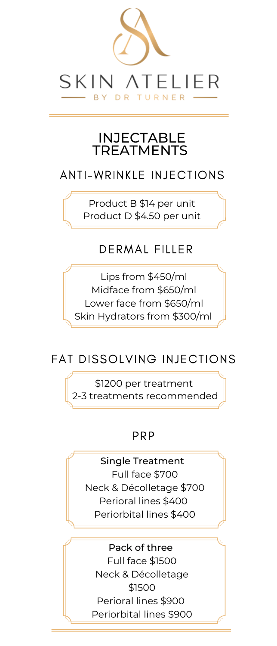

#### INJECTABLE **TREATMENTS**

### **ANTI-WRINKLE INJECTIONS**

Product B \$14 per unit Product D \$4.50 per unit

## **DERMAL FILLER**

Lips from \$450/ml Midface from \$650/ml Lower face from \$650/ml Skin Hydrators from \$300/ml

## **FAT DISSOLVING INJECTIONS**

\$1200 per treatment 2-3 treatments recommended

#### PRP

Single Treatment Full face \$700 Neck & Décolletage \$700 Perioral lines \$400 Periorbital lines \$400

Pack of three Full face \$1500 Neck & Décolletage \$1500 Perioral lines \$900 Periorbital lines \$900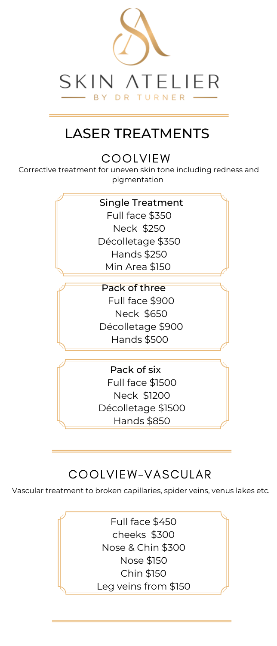

# LASER TREATMENTS

**COOLVIEW** 

Corrective treatment for uneven skin tone including redness and pigmentation

> Single Treatment Full face \$350 Neck \$250 Décolletage \$350 Hands \$250 Min Area \$150 Pack of three Full face \$900 Neck \$650 Décolletage \$900 Hands \$500

> > Pack of six Full face \$1500 Neck \$1200 Décolletage \$1500 Hands \$850

## COOLVIEW-VASCULAR

Vascular treatment to broken capillaries, spider veins, venus lakes etc.

Full face \$450 cheeks \$300 Nose & Chin \$300 Nose \$150 Chin \$150 Leg veins from \$150